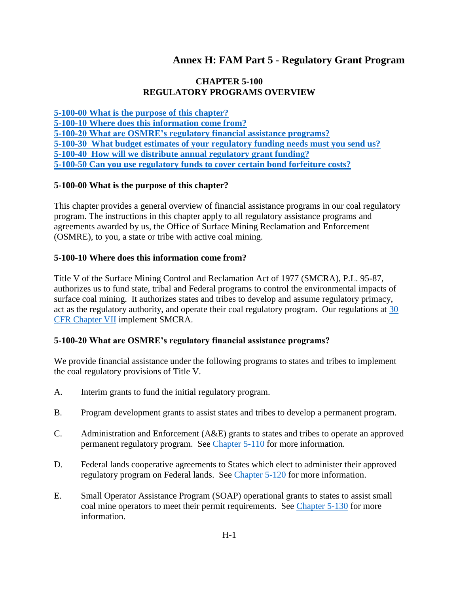# **Annex H: FAM Part 5 - Regulatory Grant Program**

## **CHAPTER 5-100 REGULATORY PROGRAMS OVERVIEW**

**[5-100-00 What is the purpose of this chapter?](#page-0-0) [5-100-10 Where does this information come from?](#page-0-1) [5-100-20 What are OSMRE's regulatory financial assistance programs?](#page-0-2) [5-100-30 What budget estimates of your regulatory funding needs must you send us?](#page-1-0) [5-100-40 How will we distribute annual regulatory grant funding?](#page-1-1) [5-100-50 Can you use regulatory funds to cover certain bond forfeiture costs?](#page-1-2)**

# <span id="page-0-0"></span>**5-100-00 What is the purpose of this chapter?**

This chapter provides a general overview of financial assistance programs in our coal regulatory program. The instructions in this chapter apply to all regulatory assistance programs and agreements awarded by us, the Office of Surface Mining Reclamation and Enforcement (OSMRE), to you, a state or tribe with active coal mining.

#### <span id="page-0-1"></span>**5-100-10 Where does this information come from?**

Title V of the Surface Mining Control and Reclamation Act of 1977 (SMCRA), P.L. 95-87, authorizes us to fund state, tribal and Federal programs to control the environmental impacts of surface coal mining. It authorizes states and tribes to develop and assume regulatory primacy, act as the regulatory authority, and operate their coal regulatory program. Our regulations at [30](http://www.ecfr.gov/cgi-bin/text-idx?SID=3bd3b173eeb54685d68c235a8396c7b0&tpl=/ecfrbrowse/Title30/30cfrv3_02.tpl#0)  [CFR Chapter VII](http://www.ecfr.gov/cgi-bin/text-idx?SID=3bd3b173eeb54685d68c235a8396c7b0&tpl=/ecfrbrowse/Title30/30cfrv3_02.tpl#0) implement SMCRA.

#### <span id="page-0-2"></span>**5-100-20 What are OSMRE's regulatory financial assistance programs?**

We provide financial assistance under the following programs to states and tribes to implement the coal regulatory provisions of Title V.

- A. Interim grants to fund the initial regulatory program.
- B. Program development grants to assist states and tribes to develop a permanent program.
- C. Administration and Enforcement (A&E) grants to states and tribes to operate an approved permanent regulatory program. See [Chapter 5-110](https://www.osmre.gov/lrg/fam/5-110.pdf) for more information.
- D. Federal lands cooperative agreements to States which elect to administer their approved regulatory program on Federal lands. See [Chapter 5-120](https://www.osmre.gov/lrg/fam/5-120.pdf) for more information.
- E. Small Operator Assistance Program (SOAP) operational grants to states to assist small coal mine operators to meet their permit requirements. See [Chapter 5-130](https://www.osmre.gov/lrg/fam/5-130.pdf) for more information.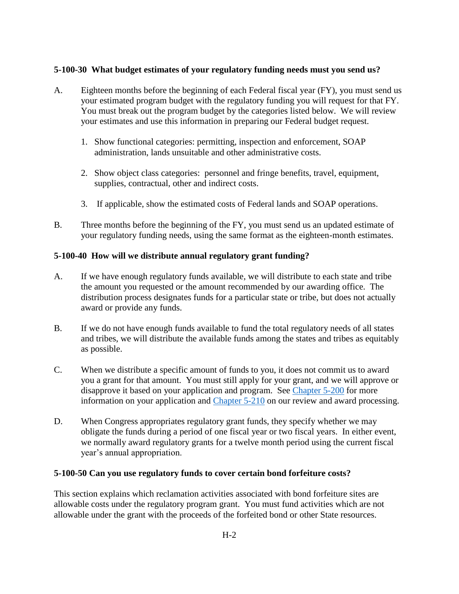### <span id="page-1-0"></span>**5-100-30 What budget estimates of your regulatory funding needs must you send us?**

- A. Eighteen months before the beginning of each Federal fiscal year (FY), you must send us your estimated program budget with the regulatory funding you will request for that FY. You must break out the program budget by the categories listed below. We will review your estimates and use this information in preparing our Federal budget request.
	- 1. Show functional categories: permitting, inspection and enforcement, SOAP administration, lands unsuitable and other administrative costs.
	- 2. Show object class categories: personnel and fringe benefits, travel, equipment, supplies, contractual, other and indirect costs.
	- 3. If applicable, show the estimated costs of Federal lands and SOAP operations.
- B. Three months before the beginning of the FY, you must send us an updated estimate of your regulatory funding needs, using the same format as the eighteen-month estimates.

# <span id="page-1-1"></span>**5-100-40 How will we distribute annual regulatory grant funding?**

- A. If we have enough regulatory funds available, we will distribute to each state and tribe the amount you requested or the amount recommended by our awarding office. The distribution process designates funds for a particular state or tribe, but does not actually award or provide any funds.
- B. If we do not have enough funds available to fund the total regulatory needs of all states and tribes, we will distribute the available funds among the states and tribes as equitably as possible.
- C. When we distribute a specific amount of funds to you, it does not commit us to award you a grant for that amount. You must still apply for your grant, and we will approve or disapprove it based on your application and program. See [Chapter 5-200](https://www.osmre.gov/lrg/fam/5-200.pdf) for more information on your application and [Chapter 5-210](https://www.osmre.gov/lrg/fam/5-210.pdf) on our review and award processing.
- D. When Congress appropriates regulatory grant funds, they specify whether we may obligate the funds during a period of one fiscal year or two fiscal years. In either event, we normally award regulatory grants for a twelve month period using the current fiscal year's annual appropriation.

#### <span id="page-1-2"></span>**5-100-50 Can you use regulatory funds to cover certain bond forfeiture costs?**

This section explains which reclamation activities associated with bond forfeiture sites are allowable costs under the regulatory program grant. You must fund activities which are not allowable under the grant with the proceeds of the forfeited bond or other State resources.